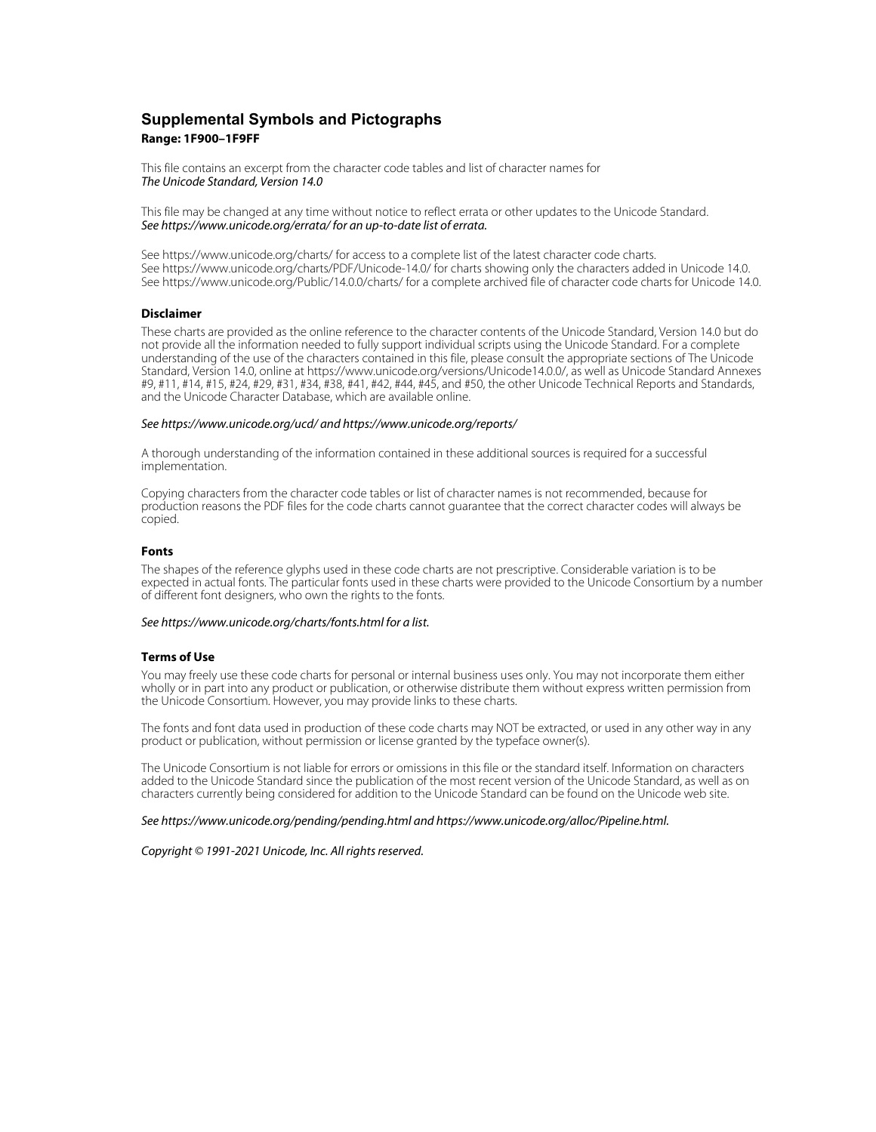## **Supplemental Symbols and Pictographs Range: 1F900–1F9FF**

This file contains an excerpt from the character code tables and list of character names for The Unicode Standard, Version 14.0

This file may be changed at any time without notice to reflect errata or other updates to the Unicode Standard. See https://www.unicode.org/errata/ for an up-to-date list of errata.

See https://www.unicode.org/charts/ for access to a complete list of the latest character code charts. See https://www.unicode.org/charts/PDF/Unicode-14.0/ for charts showing only the characters added in Unicode 14.0. See https://www.unicode.org/Public/14.0.0/charts/ for a complete archived file of character code charts for Unicode 14.0.

## **Disclaimer**

These charts are provided as the online reference to the character contents of the Unicode Standard, Version 14.0 but do not provide all the information needed to fully support individual scripts using the Unicode Standard. For a complete understanding of the use of the characters contained in this file, please consult the appropriate sections of The Unicode Standard, Version 14.0, online at https://www.unicode.org/versions/Unicode14.0.0/, as well as Unicode Standard Annexes #9, #11, #14, #15, #24, #29, #31, #34, #38, #41, #42, #44, #45, and #50, the other Unicode Technical Reports and Standards, and the Unicode Character Database, which are available online.

#### See https://www.unicode.org/ucd/ and https://www.unicode.org/reports/

A thorough understanding of the information contained in these additional sources is required for a successful implementation.

Copying characters from the character code tables or list of character names is not recommended, because for production reasons the PDF files for the code charts cannot guarantee that the correct character codes will always be copied.

#### **Fonts**

The shapes of the reference glyphs used in these code charts are not prescriptive. Considerable variation is to be expected in actual fonts. The particular fonts used in these charts were provided to the Unicode Consortium by a number of different font designers, who own the rights to the fonts.

#### See https://www.unicode.org/charts/fonts.html for a list.

#### **Terms of Use**

You may freely use these code charts for personal or internal business uses only. You may not incorporate them either wholly or in part into any product or publication, or otherwise distribute them without express written permission from the Unicode Consortium. However, you may provide links to these charts.

The fonts and font data used in production of these code charts may NOT be extracted, or used in any other way in any product or publication, without permission or license granted by the typeface owner(s).

The Unicode Consortium is not liable for errors or omissions in this file or the standard itself. Information on characters added to the Unicode Standard since the publication of the most recent version of the Unicode Standard, as well as on characters currently being considered for addition to the Unicode Standard can be found on the Unicode web site.

#### See https://www.unicode.org/pending/pending.html and https://www.unicode.org/alloc/Pipeline.html.

Copyright © 1991-2021 Unicode, Inc. All rights reserved.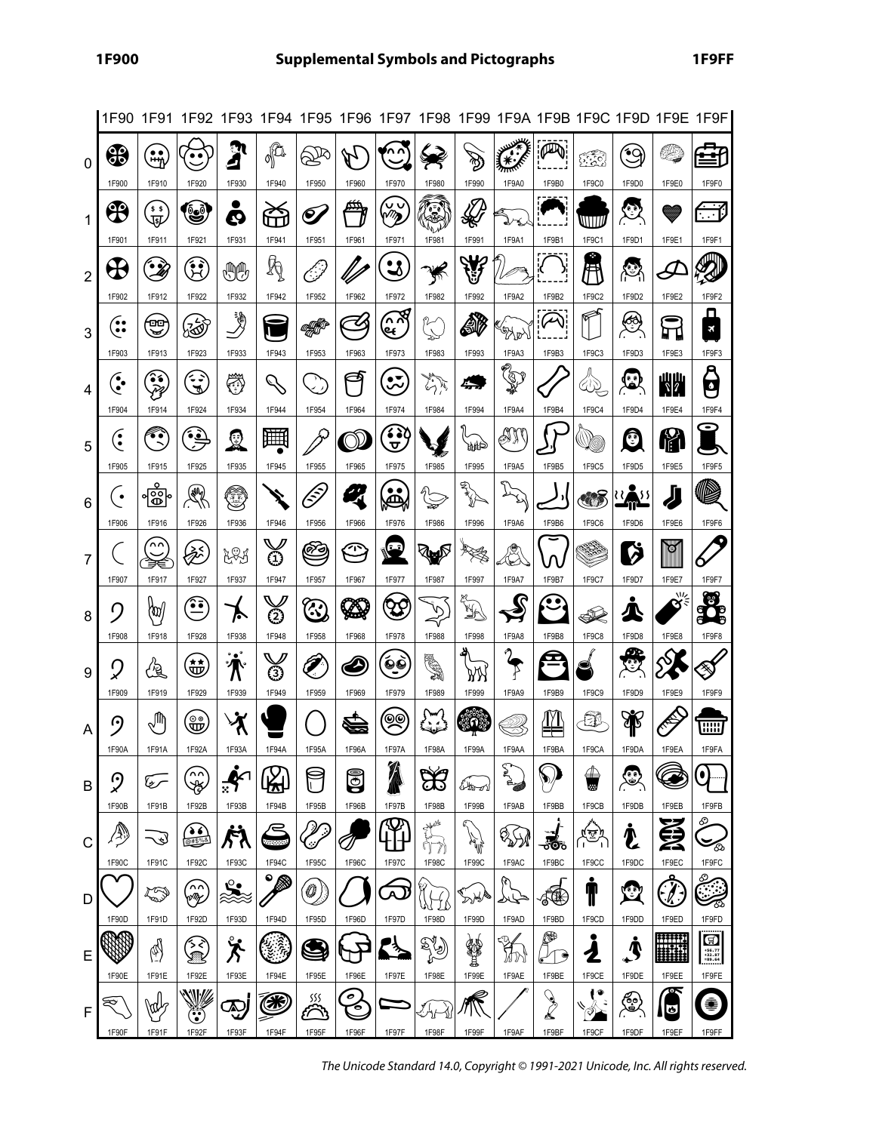|                |                         |                                             | 1F90 1F91 1F92 1F93                          |                                            |                                  |              |                                         |                                                                                                         |                                   |                       |                          |                             |                                 |                       |                                           | 1F94 1F95 1F96 1F97 1F98 1F99 1F9A 1F9B 1F9C 1F9D 1F9E 1F9F |
|----------------|-------------------------|---------------------------------------------|----------------------------------------------|--------------------------------------------|----------------------------------|--------------|-----------------------------------------|---------------------------------------------------------------------------------------------------------|-----------------------------------|-----------------------|--------------------------|-----------------------------|---------------------------------|-----------------------|-------------------------------------------|-------------------------------------------------------------|
| $\mathbf{0}$   | $\circledast$           | $\bullet$<br>,₩η                            | $\bullet$ $\bullet$<br>1F920                 | ગ<br>4                                     | ofa                              |              | 1F960                                   | 1F970                                                                                                   |                                   | B                     |                          | PA                          | <u> ទីទី១</u>                   | ັ∙໐                   | y                                         | ⊑ਮ                                                          |
| 1              | 1F900<br>$\mathfrak{B}$ | 1F910<br>\$ 5<br>哑                          | فا                                           | 1F930<br>Q                                 | 1F940<br>$\tilde{\phantom{a}}$   | 1F950<br>€,  |                                         | $\begin{smallmatrix} \vee \ \vee \ \vee \ \vee \end{smallmatrix}$                                       | 1F980<br>2                        | 1F990<br>₩            | 1F9A0                    | 1F9B0                       | 1F9C0<br>WITT                   | 1F9D0<br>C            | 1F9E0                                     | 1F9F0<br><u>.</u><br><u>ों प</u>                            |
| $\overline{2}$ | 1F901                   | 1F911<br>$\mathbf{\hat{z}}$                 | 1F921<br>$\mathcal{\tilde{H}}$               | 1F931<br>♨♨                                | 1F941<br>Ą                       | 1F951        | 1F961                                   | 1F971<br>$\bullet$<br>◅                                                                                 | 1F981                             | 1F991                 | 1F9A1                    | 1F9B1                       | 1F9C1<br>Ħ                      | 1F9D1                 | 1F9E1                                     | 1F9F1                                                       |
|                | 1F902<br>ႌ              | 1F912<br>00                                 | 1F922<br>汤                                   | 1F932<br>∛                                 | 1F942                            | 1F952        | 1F962<br>ひ                              | 1F972<br>$\approx$<br>હ્                                                                                | 1F982<br>(*)<br>-                 | 1F992<br>SP.          | 1F9A2                    | 1F9B2<br>$\curvearrowright$ | 1F9C2                           | 1F9D2<br>త            | 1F9E2                                     | 1F9F2<br>Д<br>$\pmb{\times}$                                |
| 3              | 1F903                   | $\blacktriangleright$<br>1F913<br>$\bullet$ | 1F923<br>د >                                 | 1F933                                      | 1F943                            | 1F953        | 1F963<br>⊐ৰ                             | 1F973<br>$\bullet$                                                                                      | $\overline{\mathcal{C}}$<br>1F983 | 1F993                 | PARY<br>1F9A3<br>Partido | 1F9B3                       | 1F9C3                           | 1F9D3                 | T<br>П<br>1F9E3                           | 1F9F3                                                       |
| $\overline{4}$ | $\hat{\cdot}$<br>1F904  | 1F914                                       | F<br>1F924                                   | ₩<br>1F934                                 | Ò<br>1F944                       | 1F954        | 1F964                                   | بت<br>1F974                                                                                             | پلارش<br>مراجع<br>1F984           | 1F994                 | 1F9A4                    | 1F9B4                       | 412<br>1F9C4                    | 1F9D4                 | <b>NW</b><br>1F9E4                        | 6<br>1F9F4                                                  |
| 5              | ္ပြဲ<br>1F905           | $\tilde{\cdot}$<br>1F915                    | $\hat{\mathbf{S}}$<br>1F925                  | ୁସ<br>1F935                                | 凲<br>1F945                       | 1F955        | 1F965                                   | 6 S C<br>ᠸ<br>1F975                                                                                     | 1F985                             | Щu<br>1F995           | ÐN<br>1F9A5              | 1F9B5                       | 1F9C5                           | O<br>1F9D5            | <b>f</b><br>1F9E5                         | 1F9F5                                                       |
| 6              | $\bullet$<br>1F906      | $\overline{\mathbb{B}}$<br>1F916            | $\mathbb{Q}$<br>1F926                        | ٣<br>1F936                                 | 1F946                            | lŝJ<br>1F956 | یہ ر<br>1F966                           | $\bullet$<br>ه<br>1F976                                                                                 | మి<br>1F986                       | <b>RANT</b><br>1F996  | ど<br>1F9A6               | 1F9B6                       | O<br>1F9C6                      | 1F9D6                 | Д<br>1F9E6                                | ß<br>1F9F6                                                  |
| 7              | 1F907                   | $\sim$<br>1F917                             | .<br>1<br>1F927                              | とくり<br>1F937                               | ⊕<br>1F947                       | <br>1F957    | $\mathbb{Z}$<br>1F967                   | $\bullet$<br>1F977                                                                                      | ∛⊌©<br>1F987                      | 1F997                 | Š<br>1F9A7               | 1F9B7                       | 1F9C7                           | Ö<br>1F9D7            | IQ)<br>1F9E7                              | 1F9F7                                                       |
| 8              | ŋ                       | (100)                                       | •∙                                           | ト                                          | ➁                                | <u>ැ</u>     | <b>A</b>                                | $\mathfrak{B}% _{T}=\mathfrak{B}_{T}\!\left( a,b\right) ,\ \mathfrak{C}_{T}=C_{T}\!\left( a,b\right) ,$ | Ď                                 | X                     | G                        |                             | 92                              | Д                     | ル<br>σ                                    | ౕఄఄ                                                         |
| 9              | 1F908<br>Q              | 1F918<br>烜                                  | 1F928<br>$\overleftrightarrow{\mathbf{\Xi}}$ | 1F938<br>$^{\circ}$ . $^{\circ}$<br>小<br>л | 1F948<br>☺                       | 1F958        | 1F968<br>Ð                              | 1F978<br>$\bullet$                                                                                      | 1F988<br>SI)                      | 1F998<br>λW           | 1F9A8<br>F               | 1F9B8                       | <b>1F9C8</b>                    | 1F9D8<br>೮            | 1F9E8                                     | 1F9F8<br>≫                                                  |
| A              | 1F909<br>⊙              | 1F919<br>ê                                  | 1F929<br>…<br>மூ                             | 1F939                                      | 1F949                            | 1F959        | 1F969                                   | 1F979<br><u>ୂ</u>                                                                                       | 1F989                             | 1F999<br>ω            | 1F9A9                    | 1F9B9                       | 1F9C9<br>Œ                      | 1F9D9<br>Æ            | 1F9E9                                     | 1F9F9<br><b>HHH</b>                                         |
|                | 1F90A<br>୨              | 1F91A<br>سمطآ                               | 1F92A<br>'n∩                                 | 1F93A<br>៚                                 | 1F94A<br>$\mathbb{Z}$            | 1F95A        | 1F96A<br>$\textcolor{blue}{\mathbb{G}}$ | 1F97A                                                                                                   | 1F98A<br>ದು                       | 1F99A                 | 1F9AA<br><b>AND</b>      | 1F9BA                       | 1F9CA<br>卫                      | 1F9DA<br>ে<br>ভ       | 1F9EA                                     | 1F9FA<br>$\bullet$                                          |
| B              | 1F90B                   | 1F91B                                       | F<br>1F92B<br>$\bullet$ 6                    | ो<br>1F93B                                 | 1F94B<br>Έ                       | 1F95B        | 1F96B                                   | 1F97B                                                                                                   | 1F98B<br>3446                     | لاتصطلانا<br>1F99B    | 1F9AB                    | 1F9BB                       | w<br>1F9CB                      | 1F9DB                 | 1F9EB<br>œ                                | 1F9FB<br>O                                                  |
| С              | (A)<br>1F90C            | ぺ<br>1F91C                                  | @#\$%&<br>1F92C                              | 1F93C                                      | 100000<br>1F94C<br>$\circledast$ | 1F95C        | 1F96C                                   | 1F97C                                                                                                   | 1F98C                             | <b>Allie</b><br>1F99C | ୡୠ<br>1F9AC              | <br>ಕೌ<br>1F9BC             | <u>(জু</u><br>- 1<br>1F9CC<br>c | Ł<br>1F9DC            | 1F9EC                                     | ත<br>1F9FC<br>ඏ                                             |
| D              | 1F90D                   | t S<br>1F91D                                | `∩^<br>сIJ<br>1F92D                          | Ŀ۰<br>⋙<br>1F93D                           | 1F94D                            | Ö<br>1F95D   | 1F96D                                   | А<br>1F97D                                                                                              | WIL<br>1F98D                      | ঌ৳ড়<br>1F99D         | لمحلط<br>1F9AD           | ₫<br>1F9BD                  | T<br>1F9CD                      | $\mathbf{C}$<br>1F9DD | 1F9ED                                     | 1F9FD                                                       |
| Е              | 1F90E                   | P<br>1F91E                                  | ろぐ<br>1F92E                                  | ゚゙゙゙゚゙゙゚゙゙゚゙゙゚゙<br>1F93E                   | 1F94E                            | 1F95E        | 1F96E                                   | $\rightarrow$<br>1F97E                                                                                  | EN 19<br>1F98E                    | 磐<br>1F99E            | m<br>1F9AE               | ස්<br>€<br>1F9BE            | $\mathbf 2$<br>1F9CE            | Т<br>1F9DE            | ####<br>#####<br><b>!!!!!!!!</b><br>1F9EE | $\bigcirc$<br>$+56.77$<br>$+32.87$<br>$=89.64$<br>1F9FE     |
| F              | ₩<br>1F90F              | \0U<br>1F91F                                | V<br>$\ddot{\bm{x}}$<br>1F92F                | Ω∪<br>u<br>1F93F                           | ❀<br>1F94F                       | SSS<br>1F95F | 0<br>O<br>1F96F                         | 1F97F                                                                                                   | ትሁ<br>1F98F                       | 1F99F                 | 1F9AF                    | $\sum_{i=1}^{n}$<br>1F9BF   | 1F9CF                           | త్రీ<br>1F9DF         | $\bullet$<br>1F9EF                        | 骞<br>1F9FF                                                  |
|                |                         |                                             |                                              |                                            |                                  |              |                                         |                                                                                                         |                                   |                       |                          |                             |                                 |                       |                                           |                                                             |

The Unicode Standard 14.0, Copyright © 1991-2021 Unicode, Inc. All rights reserved.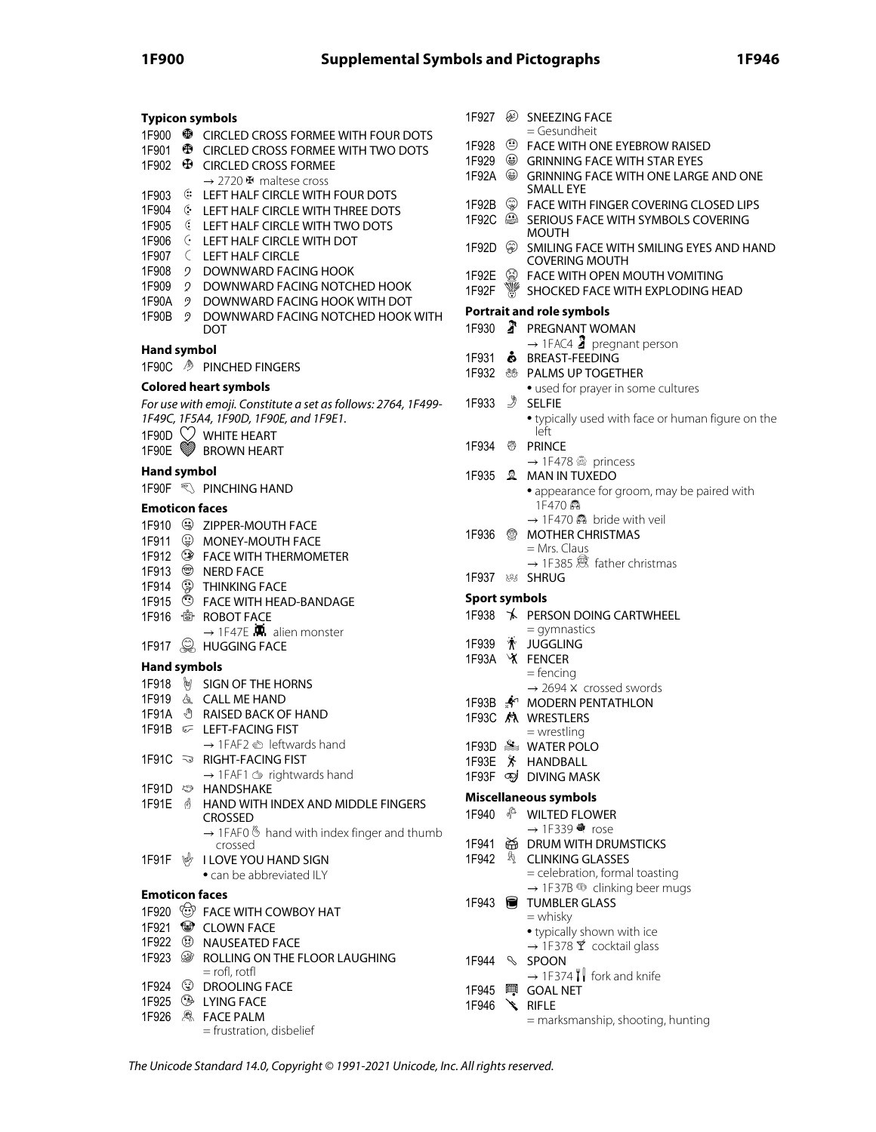#### **Typicon symbols**

- 1F900 **<sup>3</sup>** CIRCLED CROSS FORMEE WITH FOUR DOTS
- 1F901 **<sup>B</sup>** CIRCLED CROSS FORMEE WITH TWO DOTS
- 1F902 **<sup>D</sup>** CIRCLED CROSS FORMEE
- → 2720 H maltese cross
- 1F903 LEFT HALF CIRCLE WITH FOUR DOTS
- 1F904 LEFT HALF CIRCLE WITH THREE DOTS
- 1F905 LEFT HALF CIRCLE WITH TWO DOTS
- 1F906 LEFT HALF CIRCLE WITH DOT
- 1F907 LEFT HALF CIRCLE
- 1F908 DOWNWARD FACING HOOK
- 2 DOWNWARD FACING NOTCHED HOOK
- 1F90A DOWNWARD FACING HOOK WITH DOT
- 1F90B 2 DOWNWARD FACING NOTCHED HOOK WITH DOT

## **Hand symbol**

1F90C <sup>></sup> PINCHED FINGERS

#### **Colored heart symbols**

- For use with emoji. Constitute a set as follows: 2764, 1F499- 1F49C, 1F5A4, 1F90D, 1F90E, and 1F9E1.
- 1F90D  $\heartsuit$  WHITE HEART
- 1F90E **W** BROWN HEART
- **Hand symbol**
- 1F90F **WE** PINCHING HAND

#### **Emoticon faces**

- 1F910 ZIPPER-MOUTH FACE
- 1F911 MONEY-MOUTH FACE
- 1F912 FACE WITH THERMOMETER
- 1F913 <sup>®</sup> NFRD FACE
- 1F914 <sup>3</sup> THINKING FACE
- 1F915 FACE WITH HEAD-BANDAGE
- 1F916 ROBOT FACE
	- $\rightarrow$  1F47E  $\blacksquare$  alien monster
- 1F917 **S** HUGGING FACE

## **Hand symbols**

- 1F918 **M** SIGN OF THE HORNS
- 1F919 & CALL ME HAND
- 1F91A <sup>+</sup> RAISED BACK OF HAND
- 1F91B **C** LEFT-FACING FIST
	- $\rightarrow$  1FAF2  $\triangleq$  leftwards hand
- 1F91C  $\Rightarrow$  RIGHT-FACING FIST  $\rightarrow$  1FAF1  $\circledcirc$  rightwards hand
- 1F91D  $\textcircled{=}$  HANDSHAKE
- 1F91E **SEPTAND WITH INDEX AND MIDDLE FINGERS** CROSSED

 $\rightarrow$  1FAF0  $\&$  hand with index finger and thumb crossed

- 1F91F  $\psi$  I LOVE YOU HAND SIGN • can be abbreviated ILY
- **Emoticon faces**
- 1F920  $\circledcirc$  FACE WITH COWBOY HAT
- 1F921 **CLOWN FACE**
- 1F922 NAUSEATED FACE
- 1F923 *S* ROLLING ON THE FLOOR LAUGHING  $=$  rofl, rotfl
- 1F924 DROOLING FACE
- 1F925 LYING FACE
- 1F926 **& FACE PALM** 
	- = frustration, disbelief
- 1F927 <sup>3</sup> SNEEZING FACE = Gesundheit 1F928 <sup>3</sup> FACE WITH ONE EYEBROW RAISED 1F929  $\circledast$  GRINNING FACE WITH STAR EYES 1F92A GRINNING FACE WITH ONE LARGE AND ONE SMALL FYF 1F92B FACE WITH FINGER COVERING CLOSED LIPS SERIOUS FACE WITH SYMBOLS COVERING **MOUTH** 1F92D  $\circledR$  SMILING FACE WITH SMILING EYES AND HAND COVERING MOUTH 1F92E <sup>3</sup> FACE WITH OPEN MOUTH VOMITING<br>1F92F <sup>W</sup> SHOCKED FACE WITH EXPLODING HE 1F92F SHOCKED FACE WITH EXPLODING HEAD **Portrait and role symbols** 1F930 <sup>3</sup> PREGNANT WOMAN  $\rightarrow$  1FAC4  $\bar{a}$  pregnant person 1F931 & BREAST-FEEDING 1F932 **89 PALMS UP TOGETHER** • used for prayer in some cultures 1F933 **SELFIE** • typically used with face or human figure on the left 1F934 ③ PRINCE  $\rightarrow$  1F478  $\hat{\otimes}$  princess 1F935 & MAN IN TUXEDO • appearance for groom, may be paired with 1F470 @  $\rightarrow$  1F470  $\hat{m}$  bride with veil 1F936 <sup>®</sup> MOTHER CHRISTMAS = Mrs. Claus → 1F385 father christmas 1F937 **& SHRUG Sport symbols** 1F938 PERSON DOING CARTWHEEL = gymnastics 1F939 TV JUGGLING 1F93A X FENCER  $=$  fencing → 2694 ⚔ crossed swords 1F93B **\*** MODERN PENTATHLON 1F93C **M** WRESTLERS = wrestling 1F93D Sex WATER POLO 1F93E 济 HANDBALL
- 1F93F **adj** DIVING MASK

## **Miscellaneous symbols**

- 1F940 <sup>®</sup> WILTED FLOWER  $\rightarrow$  1F339  $\clubsuit$  rose
- 1F941 DRUM WITH DRUMSTICKS **CLINKING GLASSES** = celebration, formal toasting
- → 1F37B <sup>®</sup> clinking beer mugs 1F943 **TUMBLER GLASS** = whisky • typically shown with ice  $\rightarrow$  1F378  $\hat{Y}$  cocktail glass 1F944 SPOON
	- $\rightarrow$  1F374  $\mathbf{I}$  fork and knife
- 1F945 GOAL NET 1F946 RIFLE
	- = marksmanship, shooting, hunting

The Unicode Standard 14.0, Copyright © 1991-2021 Unicode, Inc. All rights reserved.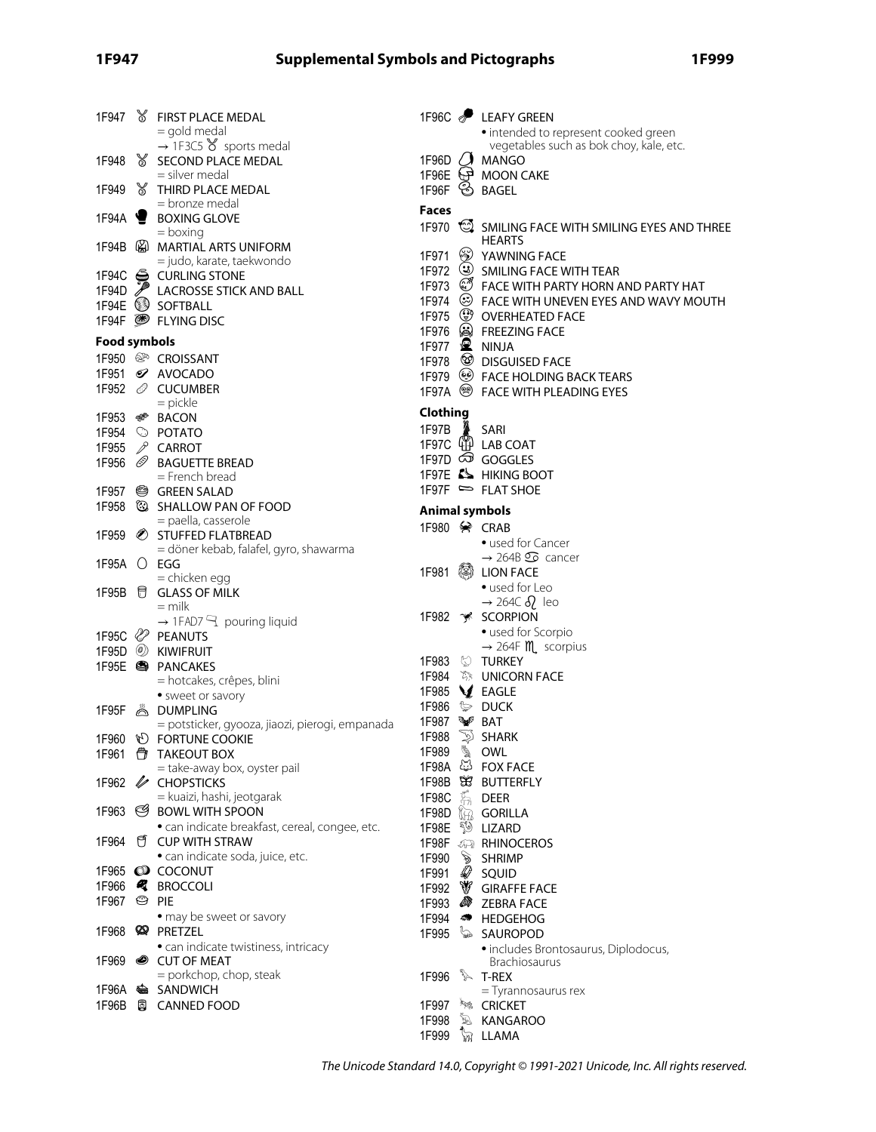|                        | 1F947 & FIRST PLACE MEDAL                                         |              | 1F96C <b>P</b> LEAFY GREEN                                       |
|------------------------|-------------------------------------------------------------------|--------------|------------------------------------------------------------------|
|                        | = gold medal                                                      |              | • intended to represent cooked green                             |
| 1F948                  | $\rightarrow$ 1F3C5 $\gamma$ sports medal<br>S SECOND PLACE MEDAL |              | vegetables such as bok choy, kale, etc.<br>1F96D $\bigcup$ MANGO |
|                        | = silver medal                                                    |              | 1F96E + MOON CAKE                                                |
| 1F949                  | THIRD PLACE MEDAL                                                 |              | 1F96F SAGEL                                                      |
|                        | = bronze medal                                                    |              |                                                                  |
| 1F94A $\blacksquare$   | <b>BOXING GLOVE</b>                                               | <b>Faces</b> |                                                                  |
|                        | $=$ boxing                                                        | 1F970        | SMILING FACE WITH SMILING EYES AND THREE                         |
|                        | 1F94B @ MARTIAL ARTS UNIFORM                                      | 1F971        | <b>HEARTS</b><br>EXP YAWNING FACE                                |
|                        | = judo, karate, taekwondo                                         |              | 1F972 3 SMILING FACE WITH TEAR                                   |
|                        | 1F94C G CURLING STONE                                             |              | 1F973 & FACE WITH PARTY HORN AND PARTY HAT                       |
|                        | 1F94D ACROSSE STICK AND BALL                                      |              | 1F974 <sup>۞</sup> FACE WITH UNEVEN EYES AND WAVY MOUTH          |
|                        | 1F94E SOFTBALL                                                    |              | 1F975 <sup>3</sup> OVERHEATED FACE                               |
|                        | 1F94F <sup>S</sup> FLYING DISC                                    |              | 1F976 (a) FREEZING FACE                                          |
| Food symbols           |                                                                   |              | 1F977 $\mathbf{\mathbb{R}}$ NINJA                                |
|                        | 1F950 <sup>@</sup> CROISSANT                                      |              | 1F978 <sup>3</sup> DISGUISED FACE                                |
|                        | 1F951 <i>S</i> AVOCADO                                            |              | 1F979 (@ FACE HOLDING BACK TEARS                                 |
|                        | 1F952 <i><i>◎</i> CUCUMBER</i>                                    |              | 1F97A <sup>S</sup> FACE WITH PLEADING EYES                       |
|                        | $=$ pickle                                                        |              |                                                                  |
|                        | 1F953 <del></del> ® BACON                                         | Clothing     |                                                                  |
|                        | 1F954 © POTATO                                                    | 1F97B        | A SARI                                                           |
| 1F955                  | $\mathcal P$ CARROT                                               |              | 1F97C 44 LAB COAT                                                |
| 1F956                  | <i>S</i> BAGUETTE BREAD                                           |              | 1F97D @ GOGGLES                                                  |
|                        | = French bread                                                    |              | 1F97E & HIKING BOOT                                              |
|                        | 1F957 <sup>@</sup> GREEN SALAD                                    |              | 1F97F = FLAT SHOE                                                |
|                        | 1F958 $\circledR$ SHALLOW PAN OF FOOD                             |              | <b>Animal symbols</b>                                            |
|                        | = paella, casserole                                               |              | 1F980 $\diamond$ CRAB                                            |
|                        | 1F959 STUFFED FLATBREAD                                           |              | • used for Cancer                                                |
|                        | = döner kebab, falafel, gyro, shawarma                            |              | $\rightarrow$ 264B $\circledcirc$ cancer                         |
| 1F95A () EGG           |                                                                   |              | 1F981 . 2DN FACE                                                 |
|                        | = chicken egg                                                     |              | • used for Leo                                                   |
|                        | 1F95B 日 GLASS OF MILK<br>$=$ milk                                 |              | $\rightarrow$ 264C $\delta$ <sub>2</sub> leo                     |
|                        | $\rightarrow$ 1FAD7 $\rightarrow$ pouring liquid                  |              | 1F982 * SCORPION                                                 |
|                        | 1F95C <sup>2</sup> PEANUTS                                        |              | · used for Scorpio                                               |
| 1F95D                  | <b>WIFRUIT</b>                                                    |              | $\rightarrow$ 264F <b>M</b> scorpius                             |
|                        | 1F95E <sup>S</sup> PANCAKES                                       |              | 1F983 © TURKEY                                                   |
|                        | = hotcakes, crêpes, blini                                         |              | 1F984 <i></i> 》UNICORN FACE                                      |
|                        | • sweet or savory                                                 |              | 1F985 V EAGLE                                                    |
|                        | 1F95F & DUMPLING                                                  |              | 1F986 <sup>2</sup> DUCK                                          |
|                        | = potsticker, gyooza, jiaozi, pierogi, empanada                   | 1F987 ₩ BAT  |                                                                  |
|                        | 1F960 <b>D</b> FORTUNE COOKIE                                     | 1F988        | $\mathbb{D}$ SHARK                                               |
|                        | 1F961 台 TAKEOUT BOX                                               | 1F989 \ OWL  |                                                                  |
|                        | = take-away box, oyster pail                                      |              | 1F98A & FOX FACE                                                 |
|                        | 1F962 / CHOPSTICKS                                                |              | 1F98B SS BUTTERFLY                                               |
|                        | = kuaizi, hashi, jeotgarak                                        | 1F98C        | もの DEER                                                          |
|                        | 1F963 S BOWL WITH SPOON                                           |              | 1F98D (iii) GORILLA                                              |
|                        | · can indicate breakfast, cereal, congee, etc.                    |              | 1F98E <sup>3</sup> LIZARD                                        |
|                        | 1F964 f CUP WITH STRAW                                            |              | 1F98F <b>AR</b> RHINOCEROS                                       |
|                        | · can indicate soda, juice, etc.                                  |              | 1F990 > SHRIMP                                                   |
|                        | 1F965 @ COCONUT                                                   |              | 1F991 & SQUID                                                    |
|                        | 1F966 <b></b> BROCCOLI                                            |              | 1F992 V GIRAFFE FACE                                             |
| 1F967 <sup>©</sup> PIE |                                                                   |              | 1F993 <b>S</b> ZEBRA FACE                                        |
|                        | • may be sweet or savory                                          |              | 1F994 <b>*</b> HEDGEHOG                                          |
|                        | 1F968 <sup>2</sup> PRETZEL                                        |              | 1F995 sAUROPOD                                                   |
|                        | · can indicate twistiness, intricacy                              |              | · includes Brontosaurus, Diplodocus,                             |
|                        | 1F969 CUT OF MEAT                                                 |              | Brachiosaurus                                                    |
|                        | = porkchop, chop, steak<br>1F96A SANDWICH                         | 1F996        | T-REX <sup>3</sup>                                               |
|                        | 1F96B 圓 CANNED FOOD                                               | 1F997        | = Tyrannosaurus rex<br><b>SECRICKET</b>                          |
|                        |                                                                   | 1F998        | <b>E KANGAROO</b>                                                |
|                        |                                                                   |              | 1F999 W LLAMA                                                    |
|                        |                                                                   |              |                                                                  |

The Unicode Standard 14.0, Copyright © 1991-2021 Unicode, Inc. All rights reserved.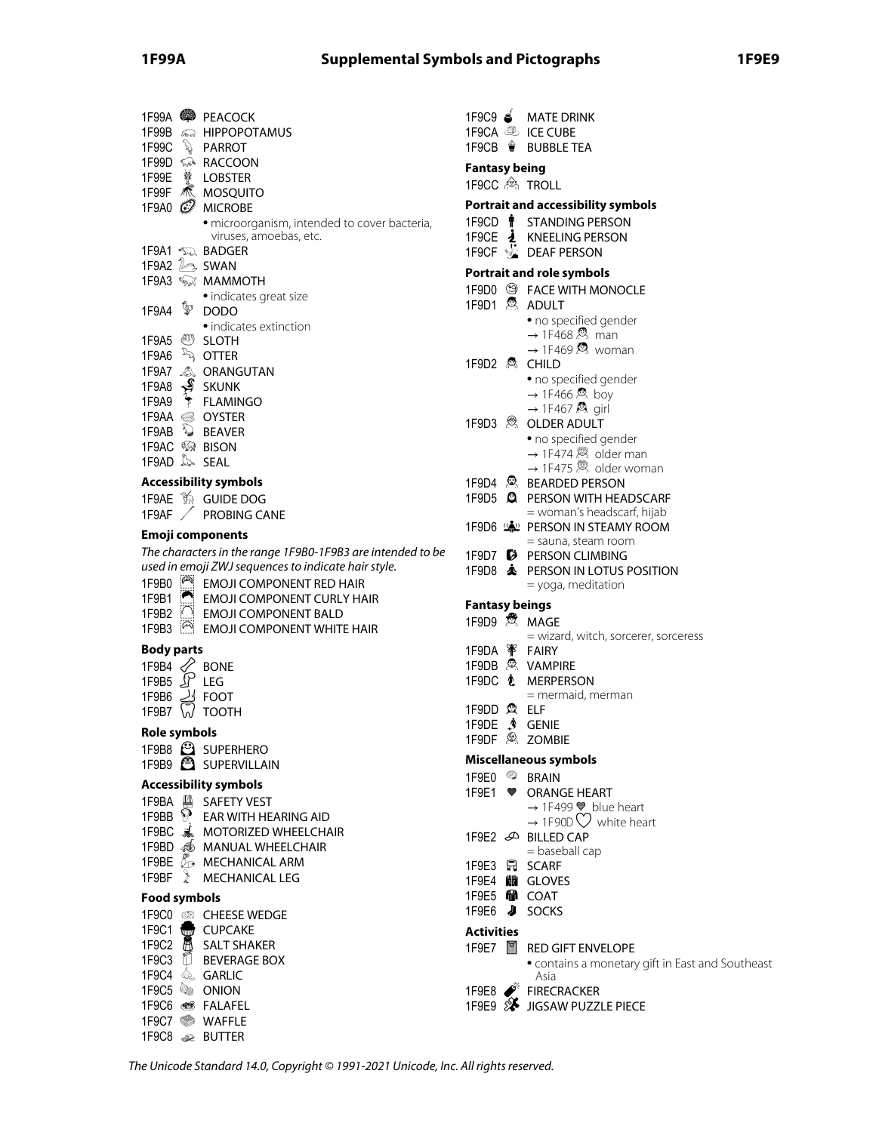# **1F99A Supplemental Symbols and Pictographs 1F9E9**

|                     |                    | 1F99A <sup>2</sup> PEACOCK                                                                                        |
|---------------------|--------------------|-------------------------------------------------------------------------------------------------------------------|
|                     |                    | 1F99B <>>> HIPPOPOTAMUS                                                                                           |
|                     |                    | 1F99C & PARROT                                                                                                    |
|                     |                    | 1F99D < RACCOON                                                                                                   |
|                     |                    | 1F99E 赞 LOBSTER<br>1F99F <b>K</b> MOSQUITO                                                                        |
| 1F9A0 $\mathcal{D}$ |                    | <b>MICROBE</b>                                                                                                    |
|                     |                    | · microorganism, intended to cover bacteria,                                                                      |
|                     |                    | viruses, amoebas, etc.                                                                                            |
|                     |                    | 1F9A1 ್ನಾ BADGER                                                                                                  |
|                     |                    | 1F9A2 2 SWAN<br>1F9A3 < <sub>%v</sub> Y MAMMOTH                                                                   |
|                     |                    | · indicates great size                                                                                            |
| 1F9A4               | V                  | <b>DODO</b>                                                                                                       |
|                     |                    | • indicates extinction                                                                                            |
|                     |                    | 1F9A5 <i><sup>@}}</sup></i> SLOTH                                                                                 |
|                     |                    | 1F9A6 $\sqrt[3]{ }$ OTTER                                                                                         |
|                     |                    | 1F9A7 <u>&amp;</u> ORANGUTAN<br>1F9A8 <del>∳</del> SKUNK                                                          |
| 1F9A9               |                    | FLAMINGO                                                                                                          |
|                     |                    | 1F9AA <sup>●</sup> OYSTER                                                                                         |
|                     |                    | 1F9AB <b>DEAVER</b>                                                                                               |
|                     |                    | 1F9AC <b>W</b> BISON                                                                                              |
| 1F9AD & SEAL        |                    |                                                                                                                   |
|                     |                    | <b>Accessibility symbols</b>                                                                                      |
|                     |                    | 1F9AE 14 GUIDE DOG                                                                                                |
| 1F9AF               |                    | <b>PROBING CANE</b>                                                                                               |
|                     |                    | Emoji components                                                                                                  |
|                     |                    | The characters in the range 1F9B0-1F9B3 are intended to be<br>used in emoji ZWJ sequences to indicate hair style. |
| 1F9B0               | $\sqrt{2}$         | <b>EMOJI COMPONENT RED HAIR</b>                                                                                   |
| 1F9B1               | ◚                  | <b>EMOJI COMPONENT CURLY HAIR</b>                                                                                 |
| 1F9B2               | $\bigcirc$         | <b>EMOJI COMPONENT BALD</b>                                                                                       |
| 1F9B3               | $\curvearrowright$ | <b>EMOJI COMPONENT WHITE HAIR</b>                                                                                 |
| <b>Body parts</b>   |                    |                                                                                                                   |
| 1F9B4 $\mathcal{Q}$ |                    | BONE                                                                                                              |
| 1F9B5 $\mathcal{L}$ |                    | LEG                                                                                                               |
| 1F9B6<br>1F9B7      |                    | <b>FOOT</b><br><b>TOOTH</b>                                                                                       |
|                     |                    |                                                                                                                   |
| Role symbols        |                    |                                                                                                                   |
|                     |                    | 1F9B8 <sup>3</sup> SUPERHERO<br>1F9B9 <b>3</b> SUPERVILLAIN                                                       |
|                     |                    |                                                                                                                   |
| 1F9BA 单             |                    | <b>Accessibility symbols</b><br><b>SAFETY VEST</b>                                                                |
| 1F9BB               |                    | $\mathcal{P}\,\,\,$ EAR WITH HEARING AID                                                                          |
|                     |                    | 1F9BC 3. MOTORIZED WHEELCHAIR                                                                                     |
|                     |                    | 1F9BD <6 MANUAL WHEELCHAIR                                                                                        |
|                     |                    | 1F9BE & MECHANICAL ARM                                                                                            |
| 1F9BF $\geq$        |                    | <b>MECHANICAL LEG</b>                                                                                             |
| Food symbols        |                    |                                                                                                                   |
|                     |                    | 1F9C0 & CHEESE WEDGE                                                                                              |
| 1F9C1               |                    | CUPCAKE                                                                                                           |
|                     |                    | 1F9C2 A SALT SHAKER<br>1F9C3 <b>D</b> BEVERAGE BOX                                                                |
|                     |                    | 1F9C4 & GARLIC                                                                                                    |
|                     |                    | 1F9C5 <b>ONION</b>                                                                                                |
|                     |                    | 1F9C6 STALAFEL                                                                                                    |
|                     |                    | 1F9C7 WAFFLE                                                                                                      |

|                             | 1F9C9 S MATE DRINK                                                                                 |
|-----------------------------|----------------------------------------------------------------------------------------------------|
| 1F9CA <b>&amp; ICE CUBE</b> |                                                                                                    |
|                             | 1F9CB ₩ BUBBLE TEA                                                                                 |
| <b>Fantasy being</b>        |                                                                                                    |
| 1F9CC 2. TROLL              |                                                                                                    |
|                             | <b>Portrait and accessibility symbols</b>                                                          |
|                             | 1F9CD <sup>1</sup> STANDING PERSON                                                                 |
|                             | 1F9CE <b><i>i</i></b> KNEELING PERSON                                                              |
|                             | 1F9CF <b>&amp; DEAF PERSON</b>                                                                     |
|                             | <b>Portrait and role symbols</b>                                                                   |
|                             | 1F9D0 <sup>3</sup> FACE WITH MONOCLE                                                               |
| 1F9D1 <sup>5</sup> ADULT    |                                                                                                    |
|                             | · no specified gender                                                                              |
|                             | $\rightarrow$ 1F468 $\stackrel{\circ}{\infty}$ man                                                 |
|                             | $\rightarrow$ 1F469 $\Omega$ woman<br><b>CHILD</b>                                                 |
|                             | • no specified gender                                                                              |
|                             | $\rightarrow$ 1F466 & boy                                                                          |
|                             | $\rightarrow$ 1F467 $\otimes$ girl                                                                 |
| $1F9D3 \otimes$             | <b>OLDER ADULT</b>                                                                                 |
|                             | · no specified gender<br>$\rightarrow$ 1F474 & older man                                           |
|                             | $\rightarrow$ 1F475 $\otimes$ older woman                                                          |
|                             | 1F9D4 & BEARDED PERSON                                                                             |
|                             | 1F9D5 & PERSON WITH HEADSCARF                                                                      |
|                             | = woman's headscarf, hijab                                                                         |
|                             | 1F9D6 "A PERSON IN STEAMY ROOM                                                                     |
|                             | = sauna, steam room<br>1F9D7 D PERSON CLIMBING                                                     |
| 1F9D8 $\triangle$           | PERSON IN LOTUS POSITION                                                                           |
|                             | = yoga, meditation                                                                                 |
| <b>Fantasy beings</b>       |                                                                                                    |
| 1F9D9 St MAGE               |                                                                                                    |
|                             | = wizard, witch, sorcerer, sorceress                                                               |
| 1F9DA <sup>W</sup> FAIRY    |                                                                                                    |
| 1F9DB & VAMPIRE             | 1F9DC ₺ MERPERSON                                                                                  |
|                             | = mermaid, merman                                                                                  |
| 1F9DD @ ELF                 |                                                                                                    |
| 1F9DE . ∲                   | <b>GENIE</b>                                                                                       |
| 1F9DF $\otimes$             | <b>ZOMBIE</b>                                                                                      |
|                             | Miscellaneous symbols                                                                              |
| 4<br>1F9E0                  | <b>BRAIN</b>                                                                                       |
| 1F9E1<br>❤                  | <b>ORANGE HEART</b>                                                                                |
|                             | $\rightarrow$ 1F499 $\blacktriangleright$ blue heart<br>$\rightarrow$ 1F90D $\bigcirc$ white heart |
|                             | 1F9E2 <sup>D</sup> BILLED CAP                                                                      |
|                             | = baseball cap                                                                                     |
| 1F9E3 កា                    | <b>SCARF</b>                                                                                       |
| 1F9E4 11 GLOVES             |                                                                                                    |
| 1F9E5 MacOAT                |                                                                                                    |
| J<br>1F9E6                  | <b>SOCKS</b>                                                                                       |
| <b>Activities</b>           |                                                                                                    |
| $\alpha$<br>1F9E7           | <b>RED GIFT ENVELOPE</b><br>• contains a monetary gift in East and Southeast                       |
|                             | Asia                                                                                               |

1F9E8 FIRECRACKER

1F9E9 SUSSAW PUZZLE PIECE

The Unicode Standard 14.0, Copyright © 1991-2021 Unicode, Inc. All rights reserved.

1F9C8 BUTTER